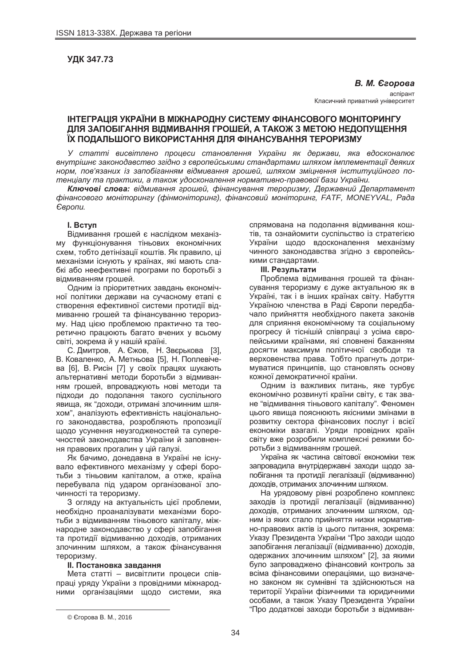# **ɍȾɄ 347.73**

#### **В. М. Єгорова**

acпipaнт Класичний приватний університет

# **ЛАД УМА В МИ В МИ МА В МИ МА ДОСТЕМ В ФОДИ В МА ДО МОН ПОРИНГУ ȾɅə ɁȺɉɈȻȱȽȺɇɇə ȼȱȾɆɂȼȺɇɇə ȽɊɈɒȿɃ, Ⱥ ɌȺɄɈɀ Ɂ ɆȿɌɈɘ ɇȿȾɈɉɍɓȿɇɇə Ȳɏ ɉɈȾȺɅɖɒɈȽɈ ȼɂɄɈɊɂɋɌȺɇɇə ȾɅə ɎȱɇȺɇɋɍȼȺɇɇə ɌȿɊɈɊɂɁɆɍ**

У статті висвітлено процеси становлення України як держави, яка вдосконалює внутрішнє законодавство згідно з європейськими стандартами шляхом імплементації деяких *норм. пов'язаних із запобіганням відмивання грошей, шляхом зміцнення інституційного по* $m$ енціалу та практики, а також удосконалення нормативно-правової бази України.

**Ключові слова**: відмивання грошей, фінансування тероризму, Державний Департамент  $\phi$ *йнансового моніторингу (фінмоніторинг), фінансовий моніторинг, FATF, MONEYVAL, Рада*  $E$ *<sub>8</sub>noπυ*.

### **l.** BCTVN

Відмивання грошей є наслідком механізму функціонування тіньових економічних схем, тобто детінізації коштів. Як правило, ці механізми існують у країнах, які мають слабкі або неефективні програми по боротьбі з відмиванням грошей.

Одним із пріоритетних завдань економічної політики держави на сучасному етапі є створення ефективної системи протидії відмиванню грошей та фінансуванню тероризму. Над цією проблемою практично та теоретично працюють багато вчених у всьому світі, зокрема й у нашій країні.

С. Дмитров, А. Єжов, Н. Звєрькова [3], В. Коваленко, А. Метньова [5], Н. Поплевічева [6], В. Рисін [7] у своїх працях шукають альтернативні методи боротьби з відмиванням грошей, впроваджують нові методи та підходи до подолання такого суспільного явища, як "доходи, отримані злочинним шляхом", аналізують ефективність національного законодавства, розробляють пропозиції щодо усунення неузгодженостей та суперечностей законодавства України й заповнення правових прогалин у цій галузі.

Як бачимо, донедавна в Україні не існувало ефективного механізму у сфері боротьби з тіньовим капіталом, а отже, країна перебувала під ударом організованої злочинності та тероризму.

3 огляду на актуальність цієї проблеми, необхідно проаналізувати механізми боротьби з відмиванням тіньового капіталу, міжнародне законодавство у сфері запобігання та протидії відмиванню доходів, отриманих злочинним шляхом, а також фінансування тероризму.

### **II. Постановка завдання**

Мета статті – висвітлити процеси співпраці уряду України з провідними міжнародними організаціями щодо системи, яка

спрямована на подолання відмивання коштів, та ознайомити суспільство із стратегією України щодо вдосконалення механізму чинного законодавства згідно з європейськими стандартами.

#### **III.** Результати

Проблема відмивання грошей та фінансування тероризму є дуже актуальною як в Україні, так і в інших країнах світу. Набуття Україною членства в Раді Європи передбачало прийняття необхідного пакета законів для сприяння економічному та соціальному прогресу й тіснішій співпраці з усіма європейськими країнами, які сповнені бажанням досягти максимум політичної свободи та верховенства права. Тобто прагнуть дотримуватися принципів, що становлять основу кожної демократичної країни.

Одним із важливих питань, яке турбує економічно розвинуті країни світу, є так зване "відмивання тіньового капіталу". Феномен цього явища пояснюють якісними змінами в розвитку сектора фінансових послуг і всієї економіки взагалі. Уряди провідних країн світу вже розробили комплексні режими боротьби з відмиванням грошей.

Україна як частина світової економіки теж запровадила внутрідержавні заходи шодо запобігання та протидії легалізації (відмиванню) доходів, отриманих злочинним шляхом.

На урядовому рівні розроблено комплекс заходів із протидії легалізації (відмиванню) доходів, отриманих злочинним шляхом. одним із яких стало прийняття низки нормативно-правових актів із цього питання, зокрема: Указу Президента України "Про заходи щодо запобігання легалізації (відмиванню) доходів. одержаних злочинним шляхом" [2], за якими було запроваджено фінансовий контроль за всіма фінансовими операціями, що визначено законом як сумнівні та здійснюються на території України фізичними та юридичними особами, а також Указу Президента України "Про додаткові заходи боротьби з відмиван-

 $\overline{a}$ 

<sup>©</sup> Єгорова В. М., 2016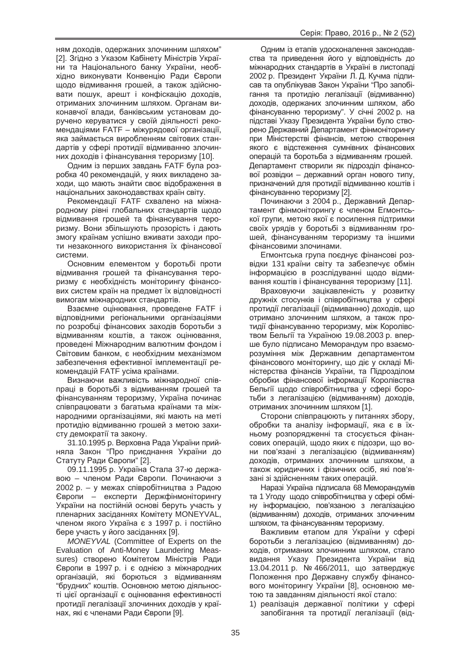ням доходів, одержаних злочинним шляхом" [2]. Згідно з Указом Кабінету Міністрів України та Національного банку України, необхідно виконувати Конвенцію Ради Європи щодо відмивання грошей, а також здійснювати пошук, арешт і конфіскацію доходів, отриманих злочинним шляхом. Органам виконавчої влади, банківським установам доручено керуватися у своїй діяльності рекомендаціями FATF – міжурядової організації, яка займається виробленням світових стандартів у сфері протидії відмиванню злочинних доходів і фінансування тероризму [10].

Одним із перших завдань FATF була розробка 40 рекомендацій, у яких викладено заходи, що мають знайти своє відображення в національних законодавствах країн світу.

Рекомендації FATF схвалено на міжнародному рівні глобальних стандартів щодо відмивання грошей та фінансування тероризму. Вони збільшують прозорість і дають змогу країнам успішно вживати заходи проти незаконного використання їх фінансової системи.

Основним елементом у боротьбі проти відмивання грошей та фінансування тероризму є необхідність моніторингу фінансових систем країн на предмет їх відповідності вимогам міжнародних стандартів.

Взаємне оцінювання, проведене FATF і відповідними регіональними організаціями по розробці фінансових заходів боротьби з відмиванням коштів, а також оцінювання, проведені Міжнародним валютним фондом і Світовим банком, є необхідним механізмом забезпечення ефективної імплементації рекомендацій FATF усіма країнами.

Визнаючи важливість міжнародної співпраці в боротьбі з відмиванням грошей та фінансуванням тероризму, Україна починає співпрацювати з багатьма країнами та міжнародними організаціями, які мають на меті протидію відмиванню грошей з метою захисту демократії та закону.

31.10.1995 р. Верховна Рада України прийняла Закон "Про приєднання України до Статуту Ради Європи" [2].

09.11.1995 р. Україна Стала 37-ю державою – членом Ради Європи. Починаючи з 2002 p. – у межах співробітництва з Радою Європи – експерти Держфінмоніторингу України на постійній основі беруть участь у пленарних засіданнях Комітету MONEYVAL, членом якого Україна є з 1997 р. і постійно бере участь у його засіданнях [9].

*MONEYVAL* (Committee of Experts on the Evaluation of Anti-Money Laundering Meassures) створено Комітетом Міністрів Ради Свропи в 1997 р. і є однією з міжнародних організацій, які борються з відмиванням "брудних" коштів. Основною метою діяльності цієї організації є оцінювання ефективності протидії легалізації злочинних доходів у країнах, які є членами Ради Європи [9].

Одним із етапів удосконалення законодавства та приведення його у відповідність до міжнародних стандартів в Україні в листопаді 2002 р. Президент України Л. Д. Кучма підписав та опублікував Закон України "Про запобігання та протидію легалізації (відмиванню) доходів, одержаних злочинним шляхом, або фінансуванню тероризму". У січні 2002 р. на підставі Указу Президента України було створено Державний Департамент фінмоніторингу при Міністерстві фінансів, метою створення якого є відстеження сумнівних фінансових операцій та боротьба з відмиванням грошей. Департамент створили як підрозділ фінансової розвідки – державний орган нового типу, призначений для протидії відмиванню коштів і фінансуванню тероризму [2].

Починаючи з 2004 р., Державний Департамент фінмоніторингу є членом Егмонтської групи, метою якої є посилення підтримки своїх урядів у боротьбі з відмиванням грошей, фінансуванням тероризму та іншими фінансовими злочинами.

Егмонтська група поєднує фінансові розвідки 131 країни світу та забезпечує обмін інформацією в розслідуванні щодо відмивання коштів і фінансування тероризму [11].

Враховуючи зацікавленість у розвитку дружніх стосунків і співробітництва у сфері протидії легалізації (відмиванню) доходів, що отримано злочинним шляхом, а також протидії фінансуванню тероризму, між Королівством Бельгії та Україною 19.08.2003 p. вперше було підписано Меморандум про взаєморозуміння між Державним департаментом фінансового моніторингу, що діє у складі Міністерства фінансів України, та Підрозділом обробки фінансової інформації Королівства Бельгії щодо співробітництва у сфері боротьби з легалізацією (відмиванням) доходів, отриманих злочинним шляхом [1].

Сторони співпрацюють у питаннях збору, обробки та аналізу інформації, яка є в їхньому розпорядженні та стосується фінансових операцій, щодо яких є підозри, що вони пов'язані з легалізацією (відмиванням) доходів, отриманих злочинним шляхом, а також юридичних і фізичних осіб, які пов'язані зі здійсненням таких операцій.

Наразі Україна підписала 68 Меморандумів та 1 Угоду щодо співробітництва у сфері обміну інформацією, пов'язаною з легалізацією (відмиванням) доходів, отриманих злочинним шляхом, та фінансуванням тероризму.

Важливим етапом для України у сфері боротьби з легалізацією (відмиванням) доходів, отриманих злочинним шляхом, стало видання Указу Президента України від 13.04.2011 р. № 466/2011, що затверджує Положення про Державну службу фінансового моніторингу України [8], основною метою та завданням діяльності якої стало:

1) реалізація державної політики у сфері запобігання та протидії легалізації (від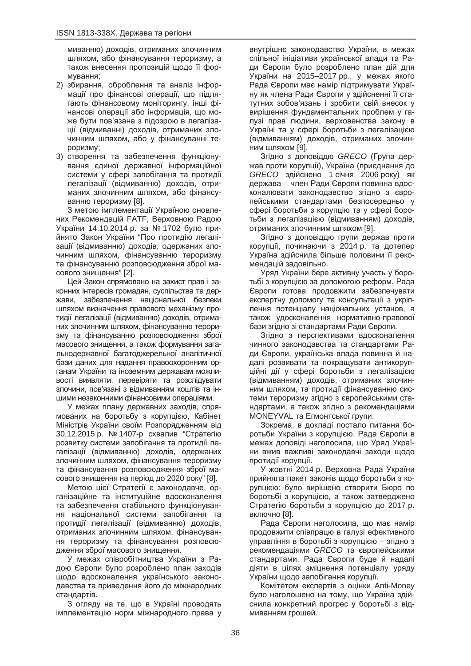миванню) доходів, отриманих злочинним шляхом, або фінансування тероризму, а також внесення пропозицій щодо її формування:

- 2) збирання, оброблення та аналіз інформації про фінансові операції, що підлягають фінансовому моніторингу, інші фінансові операції або інформація, що може бути пов'язана з підозрою в легалізації (відмиванні) доходів, отриманих злочинним шляхом, або у фінансуванні тероризму;
- 3) створення та забезпечення функціонування єдиної державної інформаційної системи у сфері запобігання та протидії легалізації (відмиванню) доходів, отриманих злочинним шляхом, або фінансуванню тероризму [8].

З метою імплементації Україною оновлених Рекомендацій FATF, Верховною Радою України 14.10.2014 р. за № 1702 було прийнято Закон України "Про протидію легалізації (відмиванню) доходів, одержаних злочинним шляхом, фінансуванню тероризму та фінансуванню розповсюдження зброї масового знищення" [2].

Цей Закон спрямовано на захист прав і законних інтересів громадян, суспільства та держави, забезпечення національної безпеки шляхом визначення правового механізму протидії легалізації (відмиванню) доходів, отриманих злочинним шляхом, фінансуванню тероризму та фінансуванню розповсюдження зброї MACOBOFO ЗНИШЕННЯ, А ТАКОЖ ФОДМУВАННЯ ЗАГАльнодержавної багатоджерельної аналітичної бази даних для надання правоохоронним органам України та іноземним державам можливості виявляти, перевіряти та розслідувати злочини, пов'язані з відмиванням коштів та іншими незаконними фінансовими операціями.

У межах плану державних заходів, спрямованих на боротьбу з корупцією, Кабінет Міністрів України своїм Розпорядженням від 30.12.2015 p. № 1407-р схвалив "Стратегію розвитку системи запобігання та протидії легалізації (відмиванню) доходів, одержаних злочинним шляхом, фінансування тероризму та фінансування розповсюдження зброї масового знищення на період до 2020 року" [8].

Метою цієї Стратегії є законодавче, організаційне та інституційне вдосконалення та забезпечення стабільного функціонування національної системи запобігання та протидії легалізації (відмиванню) доходів, отриманих злочинним шляхом, фінансування тероризму та фінансування розповсюдження зброї масового знищення.

У межах співробітництва України з Радою Європи було розроблено план заходів щодо вдосконалення українського законодавства та приведення його до міжнародних стандартів.

3 огляду на те, що в Україні проводять імплементацію норм міжнародного права у

внутрішнє законодавство України, в межах спільної ініціативи української влади та Ради Європи було розроблено план дій для України на 2015–2017 рр., у межах якого Рада Європи має намір підтримувати Україну як члена Ради Європи у здійсненні її статутних зобов'язань і зробити свій внесок у вирішення фундаментальних проблем у галузі прав людини, верховенства закону в Україні та у сфері боротьби з легалізацією (відмиванням) доходів, отриманих злочинним шляхом  $[9]$ .

Згідно з доповіддю *GRECO* (Група держав проти корупції), Україна (приєднання до *GRECO* здійснено 1 січня 2006 року) як держава – член Ради Європи повинна вдосконалювати законодавство згідно з європейськими стандартами безпосередньо у сфері боротьби з корупцію та у сфері боротьби з легалізацією (відмиванням) доходів, отриманих злочинним шляхом [9].

Згідно з доповіддю групи держав проти корупції, починаючи з 2014 р. та дотепер Україна здійснила більше половини її рекомендацій задовільно.

Уряд України бере активну участь у боротьбі з корупцією за допомогою реформ. Рада Свропи готова продовжити забезпечувати експертну допомогу та консультації з укріплення потенціалу національних установ, а також удосконалення нормативно-правової бази згідно зі стандартами Ради Європи.

Згідно з перспективами вдосконалення чинного законодавства та стандартами Ради Європи, українська влада повинна й надалі розвивати та покращувати антикорупційні дії у сфері боротьби з легалізацією (відмиванням) доходів, отриманих злочинним шляхом, та протидії фінансуванню системи тероризму згідно з європейськими стандартами, а також згідно з рекомендаціями MONEYVAL та Егмонтської групи.

Зокрема, в докладі постало питання боротьби України з корупцією. Рада Європи в межах доповіді наголосила, що Уряд України вжив важливі законодавчі заходи щодо протидії корупції.

У жовтні 2014 р. Верховна Рада України прийняла пакет законів щодо боротьби з корупцією: було вирішено створити Бюро по боротьбі з корупцією, а також затверджено Стратегію боротьби з корупцією до 2017 р. включно [8].

Рада Європи наголосила, що має намір продовжити співпрацю в галузі ефективного үправління в боротьбі з корупцією – згідно з рекомендаціями GRECO та європейськими стандартами. Рада Європи буде й надалі діяти в цілях зміцнення потенціалу уряду України шодо запобігання корупції.

Комітетом експертів з оцінки Anti-Money було наголошено на тому, шо Україна здійснила конкретний прогрес у боротьбі з відмиванням грошей.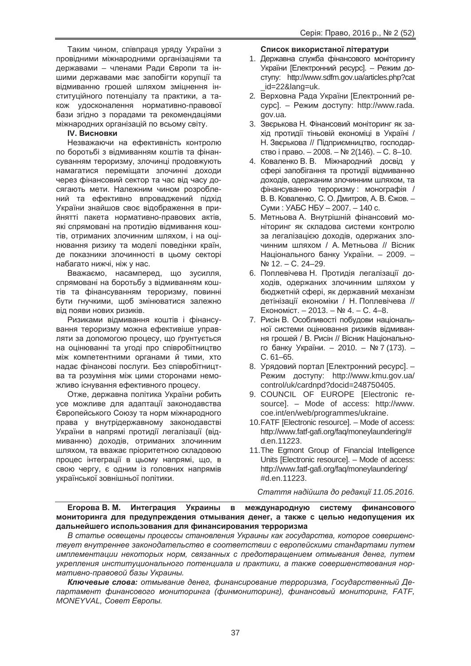Таким чином, співпраця уряду України з провідними міжнародними організаціями та державами – членами Ради Європи та іншими державами має запобігти корупції та відмиванню грошей шляхом зміцнення інституційного потенціалу та практики, а також удосконалення нормативно-правової бази згідно з порадами та рекомендаціями міжнародних організацій по всьому світу.

# $IV.$  Висновки

Незважаючи на ефективність контролю по боротьбі з відмиванням коштів та фінансуванням тероризму, злочинці продовжують намагатися перемішати злочинні доходи через фінансовий сектор та час від часу досягають мети. Належним чином розроблений та ефективно впроваджений підхід України знайшов своє відображення в прийнятті пакета нормативно-правових актів, які спрямовані на протидію відмивання коштів, отриманих злочинним шляхом, і на оцінювання ризику та моделі поведінки країн, де показники злочинності в цьому секторі набагато нижчі, ніж у нас.

Вважаємо, насамперед, що зусилля, спрямовані на боротьбу з відмиванням коштів та фінансуванням тероризму, повинні бути гнучкими, шоб змінюватися залежно від появи нових ризиків.

Ризиками відмивання коштів і фінансування тероризму можна ефективіше управляти за допомогою процесу, що ґрунтується на оцінюванні та угоді про співробітництво між компетентними органами й тими, хто надає фінансові послуги. Без співробітництва та розуміння між цими сторонами неможливо існування ефективного процесу.

Отже, державна політика України робить үсе можливе для адаптації законодавства Свропейського Союзу та норм міжнародного права у внутрідержавному законодавстві України в напрямі протидії легалізації (відмиванню) доходів, отриманих злочинним шляхом, та вважає пріоритетною складовою процес інтеграції в цьому напрямі, що, в свою чергу, є одним із головних напрямів української зовнішньої політики.

## Список використаної літератури

- 1. Державна служба фінансового моніторингу України ГЕлектронний ресурс]. – Режим доcryny: http://www.sdfm.gov.ua/articles.php?cat \_id=22&lang=uk.
- 2. Верховна Рада України [Електронний ресурс]. – Режим доступу: http://www.rada. gov.ua.
- 3. Звєрькова Н. Фінансовий моніторинг як захід протидії тіньовій економіці в Україні / Н. Зверькова // Підприємництво, господарство і право. – 2008. – № 2(146). – С. 8–10.
- 4. Коваленко В. В. Міжнародний досвід у сфері запобігання та протидії відмиванню доходів, одержаним злочинним шляхом. та фінансуванню тероризму : монографія / В. В. Коваленко, С. О. Дмитров, А. В. Єжов. – Суми: УАБС НБУ - 2007. - 140 с.
- 5. Метньова А. Внутрішній фінансовий моніторинг як складова системи контролю за легалізацією доходів, одержаних злочинним шляхом / А. Метньова // Вісник Національного банку України. - 2009. -Nº 12. – C. 24–29.
- 6. Поплевічева Н. Протидія легалізації доходів, одержаних злочинним шляхом у бюджетній сфері, як державний механізм детінізації економіки / Н. Поплевічева //  $EkonomicT. - 2013. - N94. - C. 4-8.$
- 7. Рисін В. Особливості побудови національної системи оцінювання ризиків відмивання грошей / В. Рисін // Вісник Національного банку України. - 2010. - № 7 (173). ɋ. 61–65.
- 8. Урядовий портал [Електронний ресурс]. Режим доступу: http://www.kmu.gov.ua/ control/uk/cardnpd?docid=248750405.
- 9. COUNCIL OF EUROPE [Electronic resource]. – Mode of access: http://www. coe.int/en/web/programmes/ukraine.
- 10. FATF [Electronic resource]. Mode of access: http://www.fatf-gafi.org/faq/moneylaundering/# d.en.11223.
- 11. The Egmont Group of Financial Intelligence Units [Electronic resource]. – Mode of access: http://www.fatf-gafi.org/faq/moneylaundering/ #d.en.11223.

*ɋɬɚɬɬɹ ɧɚɞɿɣɲɥɚ ɞɨ ɪɟɞɚɤɰɿʀ 11.05.2016.*

**Егорова В. М. Интеграция Украины в международную систему финансового** МОНИТОРИНГА ДЛЯ ПРЕДУПРЕЖДЕНИЯ ОТМЫВАНИЯ ДЕНЕГ, А ТАКЖЕ С ЦЕЛЬЮ НЕДОПУЩЕНИЯ ИХ дальнейшего использования для финансирования терроризма

В статье освещены процессы становления Украины как государства, которое совершенствует внутреннее законодательство в соответствии с европейскими стандартами путем  $u$ илпементации некоторых норм, связанных с предотвращением отмывания денег, путем укрепления институционального потенциала и практики, а также совершенствования нор- $^{\prime}$  мативно-правовой базы Украины.

**Ключевые слова:** отмывание денег, финансирование терроризма, Государственный Де*ɩɚɪɬɚɦɟɧɬ ɮɢɧɚɧɫɨɜɨɝɨ ɦɨɧɢɬɨɪɢɧɝɚ (ɮɢɧɦɨɧɢɬɨɪɢɧɝ), ɮɢɧɚɧɫɨɜɵɣ ɦɨɧɢɬɨɪɢɧɝ, FATF,*  $MONEYVAL, Cosem Eaponы.$